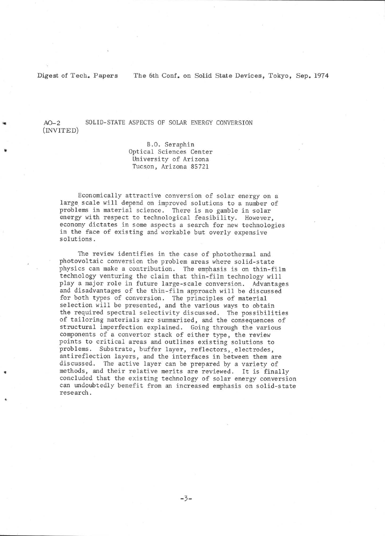Digest of Tech. Papers The 6th Conf. on Solid State Devices, Tokyo, Sep. 1974

AO-2<br>(INVITED) SOLID-STATE ASPECTS OF SOLAR ENERGY CONVERSION

> 8.0. Seraphin Optical Sciences Center University of Arizona Tucson, Arizona 85721

Econonically attractive conversion of solar energy on <sup>a</sup> large scale will depend on improved solutions to a number of problens in naterial science. There is no gamble in solar energy with respect to technological feasibility. However, economy dictates in some aspects a search for new technologies in the face of existing and workable but overly expensive solutions.

The review identifies in the case of photothermal and photovoltaic conversion the problem areas where solid-state physics can make a contribution. The emphasis is on thin-film technology venturing the clain that thin-filn technology will pLay a major role in future large-scale conversion. Advantages and disadvantages of the thin-film approach will be discussed for both types of conversion. The principles of material selection will be presented, and the various ways to obtain the required spectral selectivity discussed. The possibilities of tailoring materials are summarized, and the consequences of structural inperfection explained. Going through the various components of a convertor stack of either type, the review points to critical areas and outlines existing solutions to problems. Substrate, buffer layer, reflectors, electrodes, antireflection layers, and the interfaces in between them are discussed. The active layer can be prepared by a variety of methods, and their relative merits are reviewed. It is finally concluded that the existing technology of solar energy conversion can undoubtedly benefit fron an increased emphasis on solid-state research.